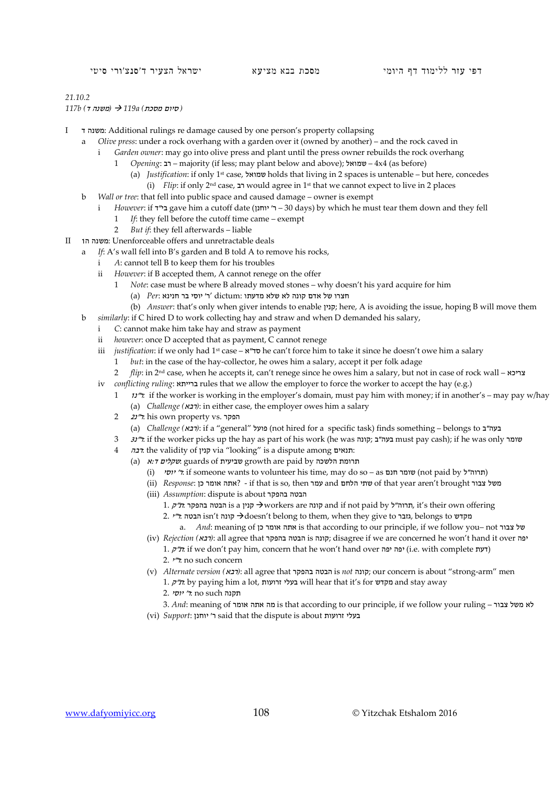## *21.10.2*

*(* סיום מסכת*) a119 )* משנה ד*) b117*

- I ד משנה: Additional rulings re damage caused by one person's property collapsing
	- a *Olive press*: under a rock overhang with a garden over it (owned by another) and the rock caved in
		- i *Garden owner*: may go into olive press and plant until the press owner rebuilds the rock overhang
			- 1 *Opening*: רב majority (if less; may plant below and above); שמואל 4x4 (as before)
				- (a) *Justification*: if only 1st case, שמואל holds that living in 2 spaces is untenable but here, concedes (i) *Flip*: if only 2nd case, רב would agree in 1st that we cannot expect to live in 2 places
	- b *Wall or tree*: that fell into public space and caused damage owner is exempt
	- i *However*: if **"ב**אב gave him a cutoff date (יוחנן 30 days) by which he must tear them down and they fell
		- 1 *If*: they fell before the cutoff time came exempt
		- 2 *But if*: they fell afterwards liable
- II 1ה משנה: Unenforceable offers and unretractable deals
	- a *If*: A's wall fell into B's garden and B told A to remove his rocks,
		- i *A*: cannot tell B to keep them for his troubles
		- ii *However*: if B accepted them, A cannot renege on the offer
			- 1 *Note*: case must be where B already moved stones why doesn't his yard acquire for him
				- חצרו של אדם קונה לא שלא מדעתו :dictum' ר' יוסי בר חנינא :*Per*) a(
			- (b) *Answer*: that's only when giver intends to enable קנין ;here, A is avoiding the issue, hoping B will move them
		- b *similarly*: if C hired D to work collecting hay and straw and when D demanded his salary,
			- i *C*: cannot make him take hay and straw as payment
			- ii *however*: once D accepted that as payment, C cannot renege
			- iii *justification*: if we only had 1st case א"סד he can't force him to take it since he doesn't owe him a salary
				- 1 *but*: in the case of the hay-collector, he owes him a salary, accept it per folk adage
			- 2 *flip*: in 2nd case, when he accepts it, can't renege since he owes him a salary, but not in case of rock wall צריכא
			- iv *conflicting ruling*: ברייתא rules that we allow the employer to force the worker to accept the hay (e.g.)
				- 1 *i*/\*, if the worker is working in the employer's domain, must pay him with money; if in another's may pay w/hay (a) *Challenge (*רבא*(*: in either case, the employer owes him a salary
				- 2 22 הפקר .his own property vs
					- (a) *Challenge (מרבא*): if a "general" ובעה"ב) (not hired for a specific task) finds something belongs to בעה
				- 3 3נ"ר: if the worker picks up the hay as part of his work (he was קונה ;ב"בעה must pay cash); if he was only שומר
				- 4 רבה: the validity of קנין via "looking" is a dispute among תנאים:
					- (a) איללים: guards of שביעית growth are paid by הרומת הלשכה
						- (i) יוסי ל: if someone wants to volunteer his time, may do so as שומר חנם (not paid by ל"תסי)
						- (ii) *Response*: <br/> כן ?- if that is so, then עמר and הלחם שתי of that year aren't brought<br/> המשל צבור משל
						- (iii) *Assumption*: dispute is about בהפקר הבטה
							- 1. הבטה בהפקר הל"ק, it's their own offering קונה, it's their own offering תונה, it's their own  $\rightarrow$
							- 2. יהבטה isn't קונה doesn't belong to them, when they give to גזבר, belongs to מקדש
								- a. *And*: meaning of אחה אומר כן is that according to our principle, if we follow you- not
						- (iv) *Rejection (*רבא*(*: all agree that בהפקר הבטה is קונה ;disagree if we are concerned he won't hand it over יפה
							- 1. (דעת if we don't pay him, concern that he won't hand over יפה יפה) i.e. with complete (דעת 2. <sup>י</sup>"ר: no such concern
						- (v) *Alternate version (*רבא*(*: all agree that בהפקר הבטה is *not* קונה ;our concern is about "strong-arm" men
							- 1. ק"ת: by paying him a lot, זרועות בעלי will hear that it's for מקדש and stay away
								- תקנה no such ל' יוסי 2.
						- 3. *And*: meaning of אומר אתה מה is that according to our principle, if we follow your ruling צבור משל לא (vi) *Support*: יוחנן 'said that the dispute is about ז**רועות**
-